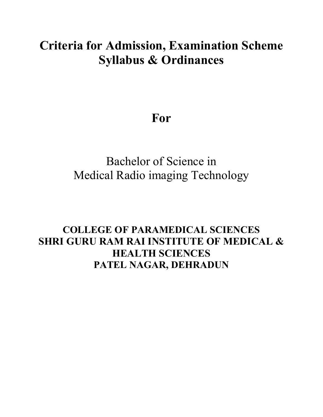# **Criteria for Admission, Examination Scheme Syllabus & Ordinances**

# **For**

# Bachelor of Science in Medical Radio imaging Technology

## **COLLEGE OF PARAMEDICAL SCIENCES SHRI GURU RAM RAI INSTITUTE OF MEDICAL & HEALTH SCIENCES PATEL NAGAR, DEHRADUN**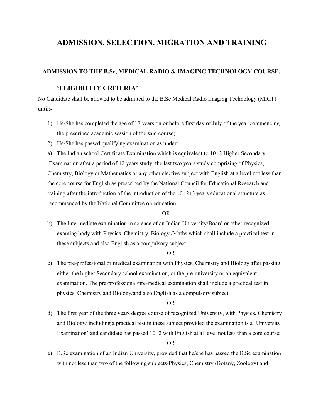## **ADMISSION, SELECTION, MIGRATION AND TRAINING**

#### **ADMISSION TO THE B.Sc, MEDICAL RADIO & IMAGING TECHNOLOGY COURSE.**

#### **'ELIGIBILITY CRITERIA'**

No Candidate shall be allowed to be admitted to the B.Sc Medical Radio Imaging Technology (MRIT) until:-

- 1) He/She has completed the age of 17 years on or before first day of July of the year commencing the prescribed academic session of the said course;
- 2) He/She has passed qualifying examination as under:

a) The Indian school Certificate Examination which is equivalent to 10+2 Higher Secondary Examination after a period of 12 years study, the last two years study comprising of Physics, Chemistry, Biology or Mathematics or any other elective subject with English at a level not less than the core course for English as prescribed by the National Council for Educational Research and training after the introduction of the introduction of the 10+2+3 years educational structure as recommended by the National Committee on education;

#### OR

b) The Intermediate examination in science of an Indian University/Board or other recognized examing body with Physics, Chemistry, Biology /Maths which shall include a practical test in these subjects and also English as a compulsory subject.

#### OR

c) The pre-professional or medical examination with Physics, Chemistry and Biology after passing either the higher Secondary school examination, or the pre-university or an equivalent examination. The pre-professional/pre-medical examination shall include a practical test in physics, Chemistry and Biology/and also English as a compulsory subject.

#### OR

d) The first year of the three years degree course of recognized University, with Physics, Chemistry and Biology/ including a practical test in these subject provided the examination is a 'University Examination' and candidate has passed  $10+2$  with English at al level not less than a core course;

OR

e) B.Sc examination of an Indian University, provided that he/she has passed the B.Sc examination with not less than two of the following subjects-Physics, Chemistry (Botany, Zoology) and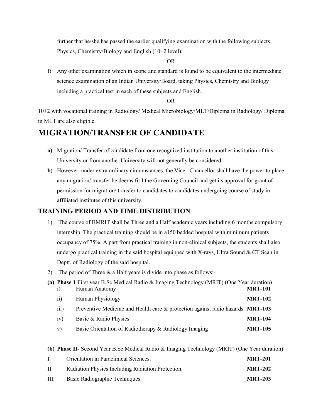further that he/she has passed the earlier qualifying examination with the following subjects Physics, Chemistry/Biology and English (10+2 level);

#### OR

f) Any other examination which in scope and standard is found to be equivalent to the intermediate science examination of an Indian University/Board, taking Physics, Chemistry and Biology including a practical test in each of these subjects and English.

#### OR

10+2 with vocational training in Radiology/ Medical Microbiology/MLT/Diploma in Radiology/ Diploma in MLT are also eligible.

## **MIGRATION/TRANSFER OF CANDIDATE**

- **a)** Migration/ Transfer of candidate from one recognized institution to another institution of this University or from another University will not generally be considered.
- **b)** However, under extra ordinary circumstances, the Vice –Chancellor shall have the power to place any migration/ transfer he deems fit I the Governing Council and get its approval for grant of permission for migration/ transfer to candidates to candidates undergoing course of study in affiliated institutes of this university.

## **TRAINING PERIOD AND TIME DISTRIBUTION**

- 1) The course of BMRIT shall be Three and a Half academic years including 6 months compulsory internship. The practical training should be in a150 bedded hospital with minimum patients occupancy of 75%. A part from practical training in non-clinical subjects, the students shall also undergo practical training in the said hospital equipped with X-rays, Ultra Sound  $& C<sub>T</sub>$  Scan in Deptt. of Radiology of the said hospital.
- 2) The period of Three & a Half years is divide into phase as follows:-

|                  | (a) Phase 1 First year B.Sc Medical Radio & Imaging Technology (MRIT) (One Year duration) |                |
|------------------|-------------------------------------------------------------------------------------------|----------------|
|                  | Human Anatomy                                                                             | <b>MRT-101</b> |
| 11)              | Human Physiology                                                                          | <b>MRT-102</b> |
| $\overline{111}$ | Preventive Medicine and Health care & protection against radio hazards MRT-103            |                |
| iv)              | Basic & Radio Physics                                                                     | <b>MRT-104</b> |
| V)               | Basic Orientation of Radiotherapy & Radiology Imaging                                     | <b>MRT-105</b> |

**(b) Phase II-** Second Year B.Sc Medical Radio & Imaging Technology (MRIT) (One Year duration)

| $\mathbf{L}$ | Orientation in Paraclinical Sciences.             | <b>MRT-201</b> |
|--------------|---------------------------------------------------|----------------|
| П.           | Radiation Physics Including Radiation Protection. | <b>MRT-202</b> |
| III.         | Basic Radiographic Techniques.                    | <b>MRT-203</b> |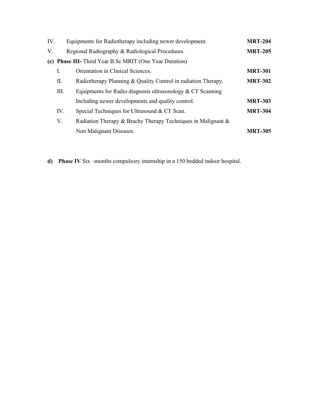| IV. |      | Equipments for Radiotherapy including newer development.      | <b>MRT-204</b> |
|-----|------|---------------------------------------------------------------|----------------|
| V.  |      | Regional Radiography & Radiological Procedures.               | <b>MRT-205</b> |
|     |      | (c) Phase III- Third Year B.Sc MRIT (One Year Duration)       |                |
|     | I.   | Orientation in Clinical Sciences.                             | <b>MRT-301</b> |
|     | П.   | Radiotherapy Planning & Quality Control in radiation Therapy. | <b>MRT-302</b> |
|     | III. | Equipments for Radio diagnosis ultrasonology $& CT$ Scanning  |                |
|     |      | Including newer developments and quality control.             | <b>MRT-303</b> |
|     | IV.  | Special Techniques for Ultrasound & CT Scan.                  | <b>MRT-304</b> |
|     | V.   | Radiation Therapy & Brachy Therapy Techniques in Malignant &  |                |
|     |      | Non Malignant Diseases.                                       | <b>MRT-305</b> |

**d) Phase IV** Six –months compulsory internship in a 150 bedded indoor hospital.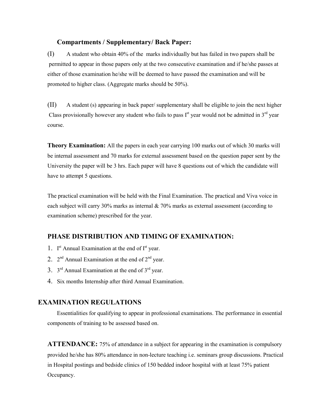#### **Compartments / Supplementary/ Back Paper:**

(I) A student who obtain 40% of the marks individually but has failed in two papers shall be permitted to appear in those papers only at the two consecutive examination and if he/she passes at either of those examination he/she will be deemed to have passed the examination and will be promoted to higher class. (Aggregate marks should be 50%).

(II) A student (s) appearing in back paper/ supplementary shall be eligible to join the next higher Class provisionally however any student who fails to pass  $I<sup>st</sup>$  year would not be admitted in  $3<sup>rd</sup>$  year course.

**Theory Examination:** All the papers in each year carrying 100 marks out of which 30 marks will be internal assessment and 70 marks for external assessment based on the question paper sent by the University the paper will be 3 hrs. Each paper will have 8 questions out of which the candidate will have to attempt 5 questions.

The practical examination will be held with the Final Examination. The practical and Viva voice in each subject will carry 30% marks as internal  $& 70\%$  marks as external assessment (according to examination scheme) prescribed for the year.

## **PHASE DISTRIBUTION AND TIMING OF EXAMINATION:**

- 1. I<sup>st</sup> Annual Examination at the end of I<sup>st</sup> year.
- 2.  $2^{nd}$  Annual Examination at the end of  $2^{nd}$  year.
- 3.  $3^{\text{rd}}$  Annual Examination at the end of  $3^{\text{rd}}$  year.
- 4. Six months Internship after third Annual Examination.

### **EXAMINATION REGULATIONS**

Essentialities for qualifying to appear in professional examinations. The performance in essential components of training to be assessed based on.

**ATTENDANCE:** 75% of attendance in a subject for appearing in the examination is compulsory provided he/she has 80% attendance in non-lecture teaching i.e. seminars group discussions. Practical in Hospital postings and bedside clinics of 150 bedded indoor hospital with at least 75% patient Occupancy.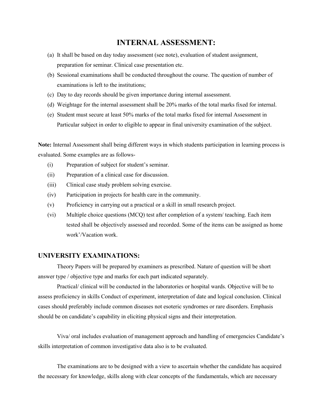## **INTERNAL ASSESSMENT:**

- (a) It shall be based on day today assessment (see note), evaluation of student assignment, preparation for seminar. Clinical case presentation etc.
- (b) Sessional examinations shall be conducted throughout the course. The question of number of examinations is left to the institutions;
- (c) Day to day records should be given importance during internal assessment.
- (d) Weightage for the internal assessment shall be 20% marks of the total marks fixed for internal.
- (e) Student must secure at least 50% marks of the total marks fixed for internal Assessment in Particular subject in order to eligible to appear in final university examination of the subject.

**Note:** Internal Assessment shall being different ways in which students participation in learning process is evaluated. Some examples are as follows-

- (i) Preparation of subject for student's seminar.
- (ii) Preparation of a clinical case for discussion.
- (iii) Clinical case study problem solving exercise.
- (iv) Participation in projects for health care in the community.
- (v) Proficiency in carrying out a practical or a skill in small research project.
- (vi) Multiple choice questions (MCQ) test after completion of a system/ teaching. Each item tested shall be objectively assessed and recorded. Some of the items can be assigned as home work'/Vacation work.

#### **UNIVERSITY EXAMINATIONS:**

Theory Papers will be prepared by examiners as prescribed. Nature of question will be short answer type / objective type and marks for each part indicated separately.

Practical/ clinical will be conducted in the laboratories or hospital wards. Objective will be to assess proficiency in skills Conduct of experiment, interpretation of date and logical conclusion. Clinical cases should preferably include common diseases not esoteric syndromes or rare disorders. Emphasis should be on candidate's capability in eliciting physical signs and their interpretation.

Viva/ oral includes evaluation of management approach and handling of emergencies Candidate's skills interpretation of common investigative data also is to be evaluated.

The examinations are to be designed with a view to ascertain whether the candidate has acquired the necessary for knowledge, skills along with clear concepts of the fundamentals, which are necessary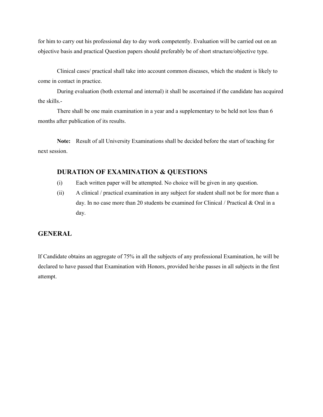for him to carry out his professional day to day work competently. Evaluation will be carried out on an objective basis and practical Question papers should preferably be of short structure/objective type.

Clinical cases/ practical shall take into account common diseases, which the student is likely to come in contact in practice.

During evaluation (both external and internal) it shall be ascertained if the candidate has acquired the skills.-

There shall be one main examination in a year and a supplementary to be held not less than 6 months after publication of its results.

**Note:** Result of all University Examinations shall be decided before the start of teaching for next session.

## **DURATION OF EXAMINATION & QUESTIONS**

- (i) Each written paper will be attempted. No choice will be given in any question.
- (ii) A clinical / practical examination in any subject for student shall not be for more than a day. In no case more than 20 students be examined for Clinical / Practical & Oral in a day.

### **GENERAL**

If Candidate obtains an aggregate of 75% in all the subjects of any professional Examination, he will be declared to have passed that Examination with Honors, provided he/she passes in all subjects in the first attempt.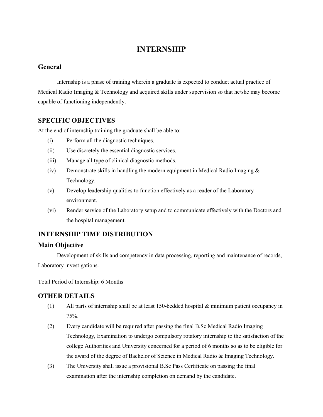## **INTERNSHIP**

### **General**

Internship is a phase of training wherein a graduate is expected to conduct actual practice of Medical Radio Imaging & Technology and acquired skills under supervision so that he/she may become capable of functioning independently.

### **SPECIFIC OBJECTIVES**

At the end of internship training the graduate shall be able to:

- (i) Perform all the diagnostic techniques.
- (ii) Use discretely the essential diagnostic services.
- (iii) Manage all type of clinical diagnostic methods.
- (iv) Demonstrate skills in handling the modern equipment in Medical Radio Imaging  $\&$ Technology.
- (v) Develop leadership qualities to function effectively as a reader of the Laboratory environment.
- (vi) Render service of the Laboratory setup and to communicate effectively with the Doctors and the hospital management.

## **INTERNSHIP TIME DISTRIBUTION**

### **Main Objective**

Development of skills and competency in data processing, reporting and maintenance of records, Laboratory investigations.

Total Period of Internship: 6 Months

## **OTHER DETAILS**

- (1) All parts of internship shall be at least 150-bedded hospital & minimum patient occupancy in 75%.
- (2) Every candidate will be required after passing the final B.Sc Medical Radio Imaging Technology, Examination to undergo compulsory rotatory internship to the satisfaction of the college Authorities and University concerned for a period of 6 months so as to be eligible for the award of the degree of Bachelor of Science in Medical Radio & Imaging Technology.
- (3) The University shall issue a provisional B.Sc Pass Certificate on passing the final examination after the internship completion on demand by the candidate.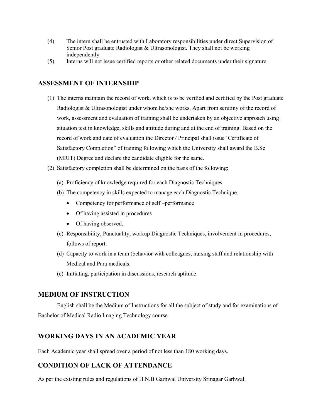- (4) The intern shall be entrusted with Laboratory responsibilities under direct Supervision of Senior Post graduate Radiologist & Ultrasonologist. They shall not be working independently.
- (5) Interns will not issue certified reports or other related documents under their signature.

## **ASSESSMENT OF INTERNSHIP**

- (1) The interns maintain the record of work, which is to be verified and certified by the Post graduate Radiologist & Ultrasonologist under whom he/she works. Apart from scrutiny of the record of work, assessment and evaluation of training shall be undertaken by an objective approach using situation test in knowledge, skills and attitude during and at the end of training. Based on the record of work and date of evaluation the Director / Principal shall issue 'Certificate of Satisfactory Completion" of training following which the University shall award the B.Sc (MRIT) Degree and declare the candidate eligible for the same.
- (2) Satisfactory completion shall be determined on the basis of the following:
	- (a) Proficiency of knowledge required for each Diagnostic Techniques
	- (b) The competency in skills expected to manage each Diagnostic Technique.
		- Competency for performance of self –performance
		- Of having assisted in procedures
		- Of having observed.
	- (c) Responsibility, Punctuality, workup Diagnostic Techniques, involvement in procedures, follows of report.
	- (d) Capacity to work in a team (behavior with colleagues, nursing staff and relationship with Medical and Para medicals.
	- (e) Initiating, participation in discussions, research aptitude.

### **MEDIUM OF INSTRUCTION**

English shall be the Medium of Instructions for all the subject of study and for examinations of Bachelor of Medical Radio Imaging Technology course.

## **WORKING DAYS IN AN ACADEMIC YEAR**

Each Academic year shall spread over a period of not less than 180 working days.

### **CONDITION OF LACK OF ATTENDANCE**

As per the existing rules and regulations of H.N.B Garhwal University Srinagar Garhwal.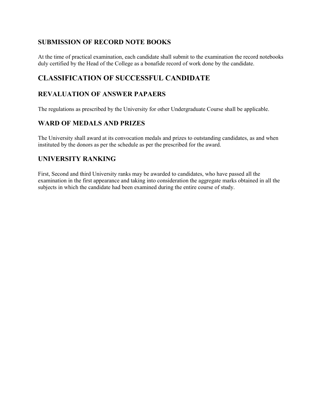## **SUBMISSION OF RECORD NOTE BOOKS**

At the time of practical examination, each candidate shall submit to the examination the record notebooks duly certified by the Head of the College as a bonafide record of work done by the candidate.

## **CLASSIFICATION OF SUCCESSFUL CANDIDATE**

## **REVALUATION OF ANSWER PAPAERS**

The regulations as prescribed by the University for other Undergraduate Course shall be applicable.

## **WARD OF MEDALS AND PRIZES**

The University shall award at its convocation medals and prizes to outstanding candidates, as and when instituted by the donors as per the schedule as per the prescribed for the award.

## **UNIVERSITY RANKING**

First, Second and third University ranks may be awarded to candidates, who have passed all the examination in the first appearance and taking into consideration the aggregate marks obtained in all the subjects in which the candidate had been examined during the entire course of study.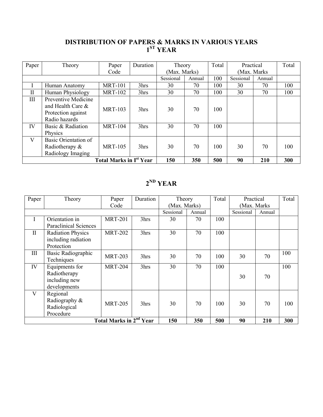## **DISTRIBUTION OF PAPERS & MARKS IN VARIOUS YEARS 1ST YEAR**

| Paper                                     | Theory                                   | Paper          | Duration | Theory       |        | Total | Practical    |        | Total |
|-------------------------------------------|------------------------------------------|----------------|----------|--------------|--------|-------|--------------|--------|-------|
|                                           |                                          | Code           |          | (Max. Marks) |        |       | (Max. Marks) |        |       |
|                                           |                                          |                |          | Sessional    | Annual | 100   | Sessional    | Annual |       |
|                                           | Human Anatomy                            | <b>MRT-101</b> | 3hrs     | 30           | 70     | 100   | 30           | 70     | 100   |
| $\mathbf{I}$                              | Human Physiology                         | <b>MRT-102</b> | 3hrs     | 30           | 70     | 100   | 30           | 70     | 100   |
| III                                       | Preventive Medicine<br>and Health Care & |                |          |              |        |       |              |        |       |
|                                           | Protection against<br>Radio hazards      | <b>MRT-103</b> | 3hrs     | 30           | 70     | 100   |              |        |       |
| IV                                        | Basic & Radiation                        | <b>MRT-104</b> | 3hrs     | 30           | 70     | 100   |              |        |       |
|                                           | Physics                                  |                |          |              |        |       |              |        |       |
| V                                         | Basic Orientation of                     |                |          |              |        |       |              |        |       |
|                                           | Radiotherapy &                           | <b>MRT-105</b> | 3hrs     | 30           | 70     | 100   | 30           | 70     | 100   |
|                                           | Radiology Imaging                        |                |          |              |        |       |              |        |       |
| <b>Total Marks in I<sup>st</sup> Year</b> |                                          |                |          | 150          | 350    | 500   | 90           | 210    | 300   |

## **2ND YEAR**

| Paper        | Theory                                    | Paper          | Duration | Theory       |        | Total | Practical    |        | Total |
|--------------|-------------------------------------------|----------------|----------|--------------|--------|-------|--------------|--------|-------|
|              |                                           | Code           |          | (Max. Marks) |        |       | (Max. Marks) |        |       |
|              |                                           |                |          | Sessional    | Annual |       | Sessional    | Annual |       |
| $\mathbf{I}$ | Orientation in                            | <b>MRT-201</b> | 3hrs     | 30           | 70     | 100   |              |        |       |
|              | <b>Paraclinical Sciences</b>              |                |          |              |        |       |              |        |       |
| $\mathbf{I}$ | <b>Radiation Physics</b>                  | <b>MRT-202</b> | 3hrs     | 30           | 70     | 100   |              |        |       |
|              | including radiation                       |                |          |              |        |       |              |        |       |
|              | Protection                                |                |          |              |        |       |              |        |       |
| Ш            | Basic Radiographic                        | <b>MRT-203</b> | 3hrs     | 30           | 70     | 100   | 30           | 70     | 100   |
|              | Techniques                                |                |          |              |        |       |              |        |       |
| IV           | Equipments for                            | <b>MRT-204</b> | 3hrs     | 30           | 70     | 100   |              |        | 100   |
|              | Radiotherapy                              |                |          |              |        |       | 30           | 70     |       |
|              | including new                             |                |          |              |        |       |              |        |       |
|              | developments                              |                |          |              |        |       |              |        |       |
| V            | Regional                                  |                |          |              |        |       |              |        |       |
|              | Radiography &                             | <b>MRT-205</b> | 3hrs     | 30           | 70     | 100   | 30           | 70     | 100   |
|              | Radiological                              |                |          |              |        |       |              |        |       |
|              | Procedure                                 |                |          |              |        |       |              |        |       |
|              | <b>Total Marks in 2<sup>nd</sup> Year</b> | 150            | 350      | 500          | 90     | 210   | 300          |        |       |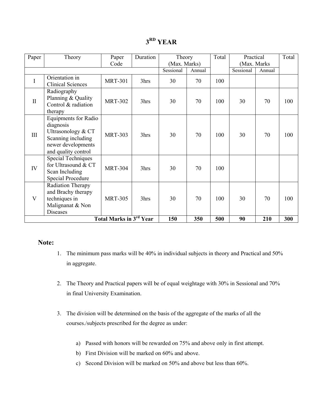## **3RD YEAR**

| Paper        | Theory                                                                                                                            | Paper                                     | Duration | Theory       |        | Total | Practical    |        | Total |
|--------------|-----------------------------------------------------------------------------------------------------------------------------------|-------------------------------------------|----------|--------------|--------|-------|--------------|--------|-------|
|              |                                                                                                                                   | Code                                      |          | (Max. Marks) |        |       | (Max. Marks) |        |       |
|              |                                                                                                                                   |                                           |          | Sessional    | Annual |       | Sessional    | Annual |       |
| I            | Orientation in<br><b>Clinical Sciences</b>                                                                                        | <b>MRT-301</b>                            | 3hrs     | 30           | 70     | 100   |              |        |       |
| $\mathbf{I}$ | Radiography<br>Planning & Quality<br>Control & radiation<br>therapy                                                               | <b>MRT-302</b>                            | 3hrs     | 30           | 70     | 100   | 30           | 70     | 100   |
| III          | <b>Equipments for Radio</b><br>diagnosis<br>Ultrasonology & CT<br>Scanning including<br>newer developments<br>and quality control | <b>MRT-303</b>                            | 3hrs     | 30           | 70     | 100   | 30           | 70     | 100   |
| IV           | <b>Special Techniques</b><br>for Ultrasound & CT<br>Scan Including<br><b>Special Procedure</b>                                    | <b>MRT-304</b>                            | 3hrs     | 30           | 70     | 100   |              |        |       |
| V            | Radiation Therapy<br>and Brachy therapy<br>techniques in<br>Malignanat & Non<br><b>Diseases</b>                                   | <b>MRT-305</b>                            | 3hrs     | 30           | 70     | 100   | 30           | 70     | 100   |
|              |                                                                                                                                   | <b>Total Marks in 3<sup>rd</sup> Year</b> |          | 150          | 350    | 500   | 90           | 210    | 300   |

### **Note:**

- 1. The minimum pass marks will be 40% in individual subjects in theory and Practical and 50% in aggregate.
- 2. The Theory and Practical papers will be of equal weightage with 30% in Sessional and 70% in final University Examination.
- 3. The division will be determined on the basis of the aggregate of the marks of all the courses./subjects prescribed for the degree as under:
	- a) Passed with honors will be rewarded on 75% and above only in first attempt.
	- b) First Division will be marked on 60% and above.
	- c) Second Division will be marked on 50% and above but less than 60%.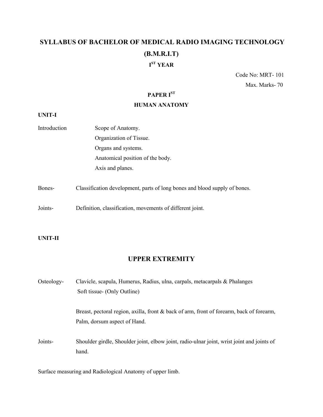## **SYLLABUS OF BACHELOR OF MEDICAL RADIO IMAGING TECHNOLOGY (B.M.R.I.T) I ST YEAR**

Code No: MRT- 101 Max. Marks- 70

## **PAPER IST**

#### **HUMAN ANATOMY**

#### **UNIT-I**

- Introduction Scope of Anatomy. Organization of Tissue. Organs and systems. Anatomical position of the body. Axis and planes.
- Bones- Classification development, parts of long bones and blood supply of bones.
- Joints- Definition, classification, movements of different joint.

#### **UNIT-II**

## **UPPER EXTREMITY**

| Osteology- | Clavicle, scapula, Humerus, Radius, ulna, carpals, metacarpals & Phalanges                          |
|------------|-----------------------------------------------------------------------------------------------------|
|            | Soft tissue- (Only Outline)                                                                         |
|            | Breast, pectoral region, axilla, front $\&$ back of arm, front of forearm, back of forearm,         |
|            | Palm, dorsum aspect of Hand.                                                                        |
| Joints-    | Shoulder girdle, Shoulder joint, elbow joint, radio-ulnar joint, wrist joint and joints of<br>hand. |

Surface measuring and Radiological Anatomy of upper limb.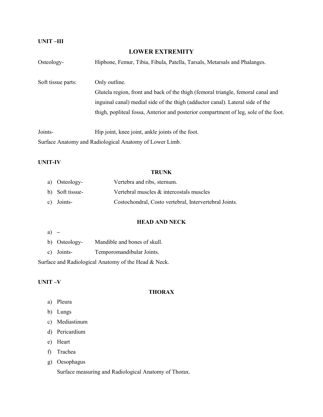#### **UNIT –III**

#### **LOWER EXTREMITY**

| Osteology-         | Hipbone, Femur, Tibia, Fibula, Patella, Tarsals, Metarsals and Phalanges.            |
|--------------------|--------------------------------------------------------------------------------------|
| Soft tissue parts: | Only outline.                                                                        |
|                    | Glutela region, front and back of the thigh (femoral triangle, femoral canal and     |
|                    | inguinal canal) medial side of the thigh (adductor canal). Lateral side of the       |
|                    | thigh, popliteal fossa, Anterior and posterior compartment of leg, sole of the foot. |
| Joints-            | Hip joint, knee joint, ankle joints of the foot.                                     |
|                    | Surface Anatomy and Radiological Anatomy of Lower Limb.                              |

#### **UNIT-IV**

#### **TRUNK**

| a) Osteology-   | Vertebra and ribs, sternum.                            |
|-----------------|--------------------------------------------------------|
| b) Soft tissue- | Vertebral muscles $\&$ intercostals muscles            |
| c) Joints-      | Costochondral, Costo vertebral, Intervertebral Joints. |

#### **HEAD AND NECK**

|--|--|

- b) Osteology- Mandible and bones of skull.
- c) Joints- Temporomandibular Joints.

Surface and Radiological Anatomy of the Head & Neck.

#### **UNIT –V**

#### **THORAX**

- a) Pleura
- b) Lungs
- c) Mediastinum
- d) Pericardium
- e) Heart
- f) Trachea
- g) Oesophagus

Surface measuring and Radiological Anatomy of Thorax.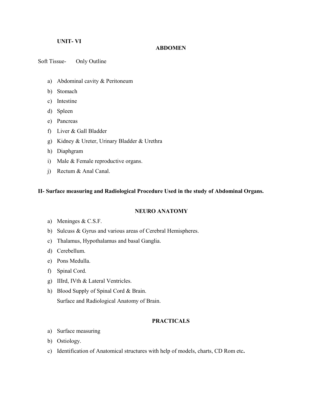#### **UNIT- VI**

#### **ABDOMEN**

Soft Tissue- Only Outline

- a) Abdominal cavity & Peritoneum
- b) Stomach
- c) Intestine
- d) Spleen
- e) Pancreas
- f) Liver & Gall Bladder
- g) Kidney & Ureter, Urinary Bladder & Urethra
- h) Diaphgram
- i) Male & Female reproductive organs.
- j) Rectum & Anal Canal.

#### **II- Surface measuring and Radiological Procedure Used in the study of Abdominal Organs.**

#### **NEURO ANATOMY**

- a) Meninges & C.S.F.
- b) Sulcuss & Gyrus and various areas of Cerebral Hemispheres.
- c) Thalamus, Hypothalamus and basal Ganglia.
- d) Cerebellum.
- e) Pons Medulla.
- f) Spinal Cord.
- g) IIIrd, IVth & Lateral Ventricles.
- h) Blood Supply of Spinal Cord & Brain. Surface and Radiological Anatomy of Brain.

#### **PRACTICALS**

- a) Surface measuring
- b) Ostiology.
- c) Identification of Anatomical structures with help of models, charts, CD Rom etc**.**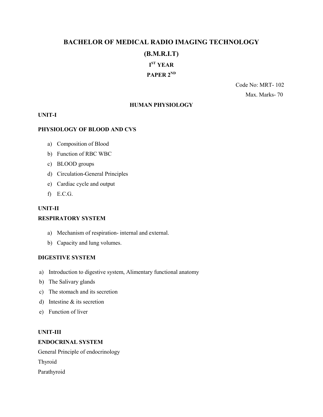## **BACHELOR OF MEDICAL RADIO IMAGING TECHNOLOGY**

### **(B.M.R.I.T)**

## **I ST YEAR**

## PAPER 2<sup>ND</sup>

Code No: MRT- 102 Max. Marks- 70

#### **HUMAN PHYSIOLOGY**

#### **UNIT-I**

#### **PHYSIOLOGY OF BLOOD AND CVS**

- a) Composition of Blood
- b) Function of RBC WBC
- c) BLOOD groups
- d) Circulation-General Principles
- e) Cardiac cycle and output
- f) E.C.G.

#### **UNIT-II**

#### **RESPIRATORY SYSTEM**

- a) Mechanism of respiration- internal and external.
- b) Capacity and lung volumes.

#### **DIGESTIVE SYSTEM**

- a) Introduction to digestive system, Alimentary functional anatomy
- b) The Salivary glands
- c) The stomach and its secretion
- d) Intestine & its secretion
- e) Function of liver

#### **UNIT-III**

#### **ENDOCRINAL SYSTEM**

General Principle of endocrinology Thyroid Parathyroid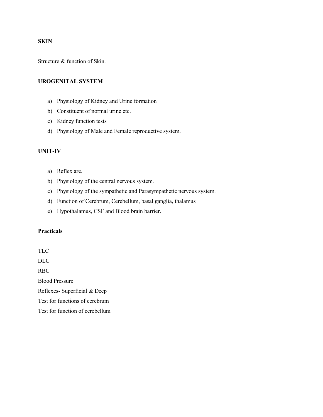#### **SKIN**

Structure & function of Skin.

#### **UROGENITAL SYSTEM**

- a) Physiology of Kidney and Urine formation
- b) Constituent of normal urine etc.
- c) Kidney function tests
- d) Physiology of Male and Female reproductive system.

#### **UNIT-IV**

- a) Reflex are.
- b) Physiology of the central nervous system.
- c) Physiology of the sympathetic and Parasympathetic nervous system.
- d) Function of Cerebrum, Cerebellum, basal ganglia, thalamus
- e) Hypothalamus, CSF and Blood brain barrier.

#### **Practicals**

TLC DLC RBC Blood Pressure Reflexes- Superficial & Deep Test for functions of cerebrum Test for function of cerebellum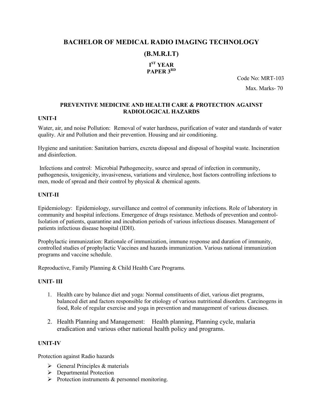## **BACHELOR OF MEDICAL RADIO IMAGING TECHNOLOGY (B.M.R.I.T) I ST YEAR**

## **PAPER 3RD**

Code No: MRT-103 Max. Marks- 70

#### **PREVENTIVE MEDICINE AND HEALTH CARE & PROTECTION AGAINST RADIOLOGICAL HAZARDS**

#### **UNIT-I**

Water, air, and noise Pollution: Removal of water hardness, purification of water and standards of water quality. Air and Pollution and their prevention. Housing and air conditioning.

Hygiene and sanitation: Sanitation barriers, excreta disposal and disposal of hospital waste. Incineration and disinfection.

Infections and control: Microbial Pathogenecity, source and spread of infection in community, pathogenesis, toxigenicity, invasiveness, variations and virulence, host factors controlling infections to men, mode of spread and their control by physical & chemical agents.

#### **UNIT-II**

Epidemiology: Epidemiology, surveillance and control of community infections. Role of laboratory in community and hospital infections. Emergence of drugs resistance. Methods of prevention and control-Isolation of patients, quarantine and incubation periods of various infectious diseases. Management of patients infectious disease hospital (IDH).

Prophylactic immunization: Rationale of immunization, immune response and duration of immunity, controlled studies of prophylactic Vaccines and hazards immunization. Various national immunization programs and vaccine schedule.

Reproductive, Family Planning & Child Health Care Programs.

#### **UNIT- III**

- 1. Health care by balance diet and yoga: Normal constituents of diet, various diet programs, balanced diet and factors responsible for etiology of various nutritional disorders. Carcinogens in food, Role of regular exercise and yoga in prevention and management of various diseases.
- 2. Health Planning and Management: Health planning, Planning cycle, malaria eradication and various other national health policy and programs.

#### **UNIT-IV**

Protection against Radio hazards

- $\triangleright$  General Principles & materials
- **Departmental Protection**
- $\triangleright$  Protection instruments & personnel monitoring.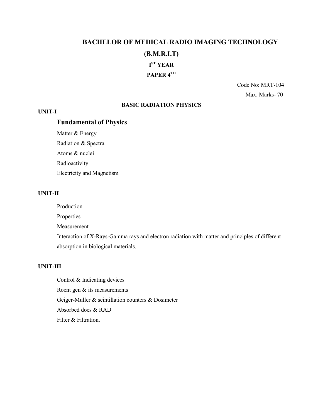## **BACHELOR OF MEDICAL RADIO IMAGING TECHNOLOGY (B.M.R.I.T) I ST YEAR PAPER 4TH**

Code No: MRT-104 Max. Marks- 70

#### **BASIC RADIATION PHYSICS**

#### **UNIT-I**

## **Fundamental of Physics**

Matter & Energy Radiation & Spectra Atoms & nuclei

Radioactivity Electricity and Magnetism

#### **UNIT-II**

Production

Properties

Measurement

Interaction of X-Rays-Gamma rays and electron radiation with matter and principles of different absorption in biological materials.

#### **UNIT-III**

Control & Indicating devices Roent gen & its measurements Geiger-Muller & scintillation counters & Dosimeter Absorbed does & RAD Filter & Filtration.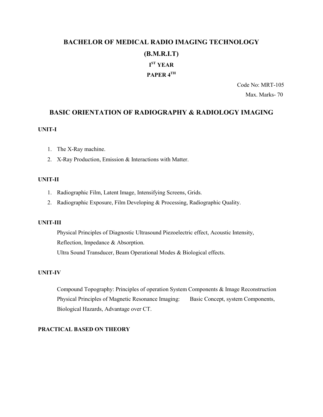## **BACHELOR OF MEDICAL RADIO IMAGING TECHNOLOGY (B.M.R.I.T) I ST YEAR PAPER 4TH**

Code No: MRT-105 Max. Marks- 70

#### **BASIC ORIENTATION OF RADIOGRAPHY & RADIOLOGY IMAGING**

#### **UNIT-I**

- 1. The X-Ray machine.
- 2. X-Ray Production, Emission & Interactions with Matter.

#### **UNIT-II**

- 1. Radiographic Film, Latent Image, Intensifying Screens, Grids.
- 2. Radiographic Exposure, Film Developing & Processing, Radiographic Quality.

#### **UNIT-III**

Physical Principles of Diagnostic Ultrasound Piezoelectric effect, Acoustic Intensity, Reflection, Impedance & Absorption. Ultra Sound Transducer, Beam Operational Modes & Biological effects.

#### **UNIT-IV**

Compound Topography: Principles of operation System Components & Image Reconstruction Physical Principles of Magnetic Resonance Imaging: Basic Concept, system Components, Biological Hazards, Advantage over CT.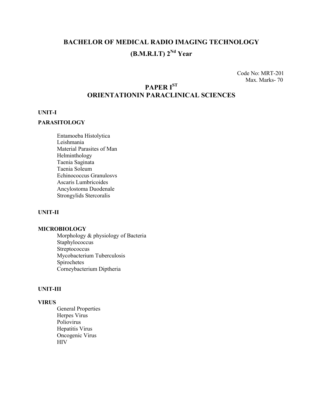## **BACHELOR OF MEDICAL RADIO IMAGING TECHNOLOGY (B.M.R.I.T) 2Nd Year**

Code No: MRT-201 Max. Marks- 70

## **PAPER IST ORIENTATIONIN PARACLINICAL SCIENCES**

#### **UNIT-I**

#### **PARASITOLOGY**

Entamoeba Histolytica Leishmania Material Parasites of Man Helminthology Taenia Saginata Taenia Soleum Echinococcus Granulosvs Ascaris Lumbricoides Ancylostoma Duodenale Strongylids Stercoralis

#### **UNIT-II**

#### **MICROBIOLOGY**

Morphology & physiology of Bacteria Staphylococcus **Streptococcus** Mycobacterium Tuberculosis Spirochetes Corneybacterium Diptheria

#### **UNIT-III**

#### **VIRUS**

General Properties Herpes Virus Poliovirus Hepatitis Virus Oncogenic Virus HIV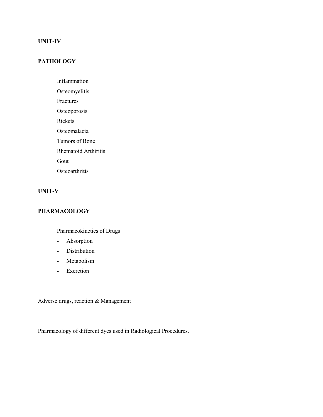#### **UNIT-IV**

### **PATHOLOGY**

- Inflammation
- Osteomyelitis
- Fractures
- Osteoporosis
- Rickets
- Osteomalacia
- Tumors of Bone
- Rhematoid Arthiritis
- Gout
- **Osteoarthritis**

#### **UNIT-V**

#### **PHARMACOLOGY**

## Pharmacokinetics of Drugs

- Absorption
- Distribution
- Metabolism
- Excretion

Adverse drugs, reaction & Management

Pharmacology of different dyes used in Radiological Procedures.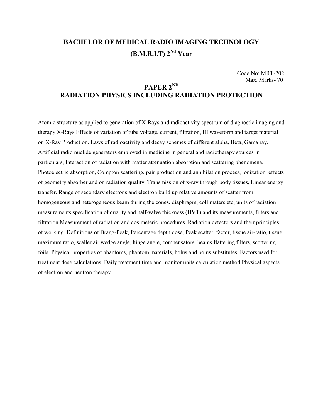## **BACHELOR OF MEDICAL RADIO IMAGING TECHNOLOGY**  $(B.M.R.I.T)$   $2^{Nd}$  Year

Code No: MRT-202 Max. Marks- 70

## **PAPER 2ND RADIATION PHYSICS INCLUDING RADIATION PROTECTION**

Atomic structure as applied to generation of X-Rays and radioactivity spectrum of diagnostic imaging and therapy X-Rays Effects of variation of tube voltage, current, filtration, III waveform and target material on X-Ray Production. Laws of radioactivity and decay schemes of different alpha, Beta, Gama ray, Artificial radio nuclide generators employed in medicine in general and radiotherapy sources in particulars, Interaction of radiation with matter attenuation absorption and scattering phenomena, Photoelectric absorption, Compton scattering, pair production and annihilation process, ionization effects of geometry absorber and on radiation quality. Transmission of x-ray through body tissues, Linear energy transfer. Range of secondary electrons and electron build up relative amounts of scatter from homogeneous and heterogeneous beam during the cones, diaphragm, collimaters etc, units of radiation measurements specification of quality and half-valve thickness (HVT) and its measurements, filters and filtration Measurement of radiation and dosimeteric procedures. Radiation detectors and their principles of working. Definitions of Bragg-Peak, Percentage depth dose, Peak scatter, factor, tissue air-ratio, tissue maximum ratio, scaller air wedge angle, hinge angle, compensators, beams flattering filters, scottering foils. Physical properties of phantoms, phantom materials, bolus and bolus substitutes. Factors used for treatment dose calculations, Daily treatment time and monitor units calculation method Physical aspects of electron and neutron therapy.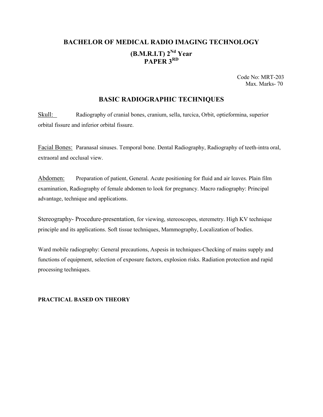## **BACHELOR OF MEDICAL RADIO IMAGING TECHNOLOGY (B.M.R.I.T) 2Nd Year PAPER 3RD**

Code No: MRT-203 Max. Marks- 70

#### **BASIC RADIOGRAPHIC TECHNIQUES**

Skull: Radiography of cranial bones, cranium, sella, turcica, Orbit, optieformina, superior orbital fissure and inferior orbital fissure.

Facial Bones: Paranasal sinuses. Temporal bone. Dental Radiography, Radiography of teeth-intra oral, extraoral and occlusal view.

Abdomen: Preparation of patient, General. Acute positioning for fluid and air leaves. Plain film examination, Radiography of female abdomen to look for pregnancy. Macro radiography: Principal advantage, technique and applications.

Stereography- Procedure-presentation, for viewing, stereoscopes, steremetry. High KV technique principle and its applications. Soft tissue techniques, Mammography, Localization of bodies.

Ward mobile radiography: General precautions, Aspesis in techniques-Checking of mains supply and functions of equipment, selection of exposure factors, explosion risks. Radiation protection and rapid processing techniques.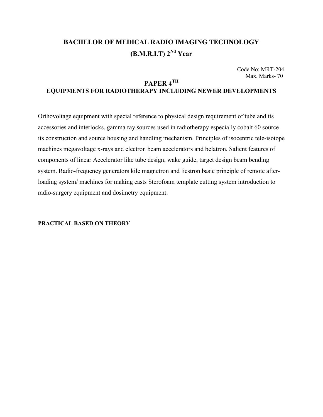## **BACHELOR OF MEDICAL RADIO IMAGING TECHNOLOGY**  $(B.M.R.I.T)$   $2^{Nd}$  Year

Code No: MRT-204 Max. Marks- 70

## **PAPER 4TH EQUIPMENTS FOR RADIOTHERAPY INCLUDING NEWER DEVELOPMENTS**

Orthovoltage equipment with special reference to physical design requirement of tube and its accessories and interlocks, gamma ray sources used in radiotherapy especially cobalt 60 source its construction and source housing and handling mechanism. Principles of isocentric tele-isotope machines megavoltage x-rays and electron beam accelerators and belatron. Salient features of components of linear Accelerator like tube design, wake guide, target design beam bending system. Radio-frequency generators kile magnetron and liestron basic principle of remote afterloading system/ machines for making casts Sterofoam template cutting system introduction to radio-surgery equipment and dosimetry equipment.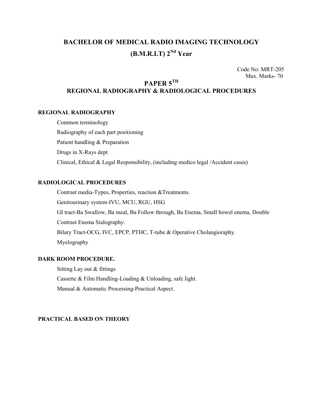## **BACHELOR OF MEDICAL RADIO IMAGING TECHNOLOGY**  $(B.M.R.I.T) 2<sup>Nd</sup> Year$

Code No: MRT-205 Max. Marks- 70

## **PAPER 5TH REGIONAL RADIOGRAPHY & RADIOLOGICAL PROCEDURES**

#### **REGIONAL RADIOGRAPHY**

Common terminology Radiography of each part positioning Patient handling & Preparation Drugs in X-Rays dept Clinical, Ethical & Legal Responsibility, (including medico legal /Accident cases)

#### **RADIOLOGICAL PROCEDURES**

Contrast media-Types, Properties, reaction &Treatments. Genitourinary system-IVU, MCU, RGU, HSG GI tract-Ba Swallow, Ba meal, Ba Follow through, Ba Enema, Small bowel enema, Double Contrast Enema Sialography. Bilary Tract-OCG, IVC, EPCP, PTHC, T-tube & Operative Cholangioraphy. Myelography

#### **DARK ROOM PROCEDURE.**

Sitting Lay out & fittings Cassette & Film Handling-Loading & Unloading, safe light. Manual & Automatic Processing-Practical Aspect.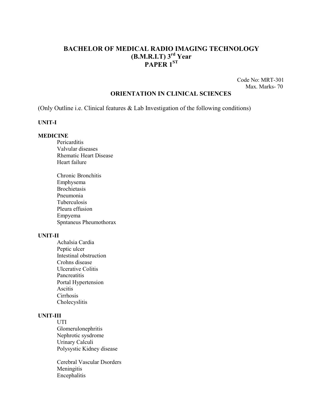## **BACHELOR OF MEDICAL RADIO IMAGING TECHNOLOGY (B.M.R.I.T) 3rd Year PAPER 1ST**

Code No: MRT-301 Max. Marks- 70

#### **ORIENTATION IN CLINICAL SCIENCES**

(Only Outline i.e. Clinical features & Lab Investigation of the following conditions)

#### **UNIT-I**

#### **MEDICINE**

- **Pericarditis** Valvular diseases Rhematic Heart Disease Heart failure
- Chronic Bronchitis Emphysema Brochietasis Pneumonia Tuberculosis Pleura effusion Empyema Spntaneus Pheumothorax

#### **UNIT-II**

Achalsia Cardia Peptic ulcer Intestinal obstruction Crohns disease Ulcerative Colitis Pancreatitis Portal Hypertension Ascitis Cirrhosis Cholecyslitis

#### **UNIT-III**

UTI Glomerulonephritis Nephrotic sysdrome Urinary Calculi Polysystic Kidney disease

Cerebral Vascular Dsorders Meningitis Encephalitis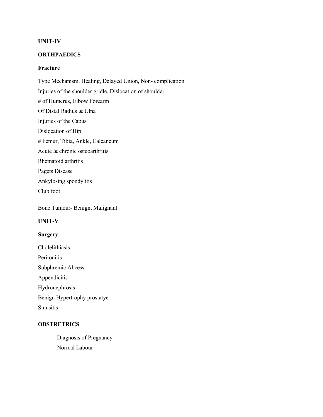#### **UNIT-IV**

#### **ORTHPAEDICS**

#### **Fracture**

Type Mechanism, Healing, Delayed Union, Non- complication Injuries of the shoulder gridle, Dislocation of shoulder # of Humerus, Elbow Forearm Of Distal Radius & Ulna Injuries of the Capus Dislocation of Hip # Femur, Tibia, Ankle, Calcaneum Acute & chronic osteoarthritis Rhematoid arthritis Pagets Disease Ankylosing spondylitis Club foot

Bone Tumour- Benign, Malignant

#### **UNIT-V**

#### **Surgery**

Cholelithiasis **Peritonitis** Subphremic Abcess Appendicitis Hydronephrosis Benign Hypertrophy prostatye Sinusitis

#### **OBSTRETRICS**

Diagnosis of Pregnancy Normal Labour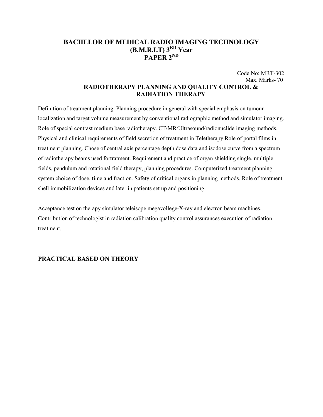## **BACHELOR OF MEDICAL RADIO IMAGING TECHNOLOGY (B.M.R.I.T) 3RD Year PAPER 2ND**

Code No: MRT-302 Max. Marks- 70

### **RADIOTHERAPY PLANNING AND QUALITY CONTROL & RADIATION THERAPY**

Definition of treatment planning. Planning procedure in general with special emphasis on tumour localization and target volume measurement by conventional radiographic method and simulator imaging. Role of special contrast medium base radiotherapy. CT/MR/Ultrasound/radionuclide imaging methods. Physical and clinical requirements of field secretion of treatment in Teletherapy Role of portal films in treatment planning. Chose of central axis percentage depth dose data and isodose curve from a spectrum of radiotherapy beams used fortratment. Requirement and practice of organ shielding single, multiple fields, pendulum and rotational field therapy, planning procedures. Computerized treatment planning system choice of dose, time and fraction. Safety of critical organs in planning methods. Role of treatment shell immobilization devices and later in patients set up and positioning.

Acceptance test on therapy simulator teleisope megavollege-X-ray and electron beam machines. Contribution of technologist in radiation calibration quality control assurances execution of radiation treatment.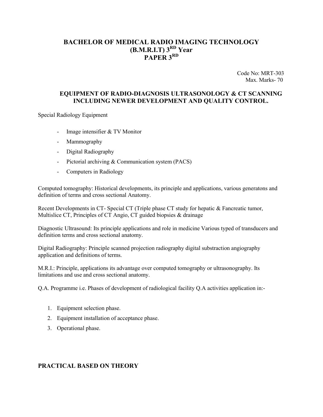## **BACHELOR OF MEDICAL RADIO IMAGING TECHNOLOGY (B.M.R.I.T) 3RD Year PAPER 3RD**

Code No: MRT-303 Max. Marks- 70

#### **EQUIPMENT OF RADIO-DIAGNOSIS ULTRASONOLOGY & CT SCANNING INCLUDING NEWER DEVELOPMENT AND QUALITY CONTROL.**

Special Radiology Equipment

- Image intensifier & TV Monitor
- Mammography
- Digital Radiography
- Pictorial archiving & Communication system (PACS)
- Computers in Radiology

Computed tomography: Historical developments, its principle and applications, various generatons and definition of terms and cross sectional Anatomy.

Recent Developments in CT- Special CT (Triple phase CT study for hepatic & Fancreatic tumor, Multislice CT, Principles of CT Angio, CT guided biopsies & drainage

Diagnostic Ultrasound: Its principle applications and role in medicine Various typed of transducers and definition terms and cross sectional anatomy.

Digital Radiography: Principle scanned projection radiography digital substraction angiography application and definitions of terms.

M.R.I.: Principle, applications its advantage over computed tomography or ultrasonography. Its limitations and use and cross sectional anatomy.

Q.A. Programme i.e. Phases of development of radiological facility Q.A activities application in:-

- 1. Equipment selection phase.
- 2. Equipment installation of acceptance phase.
- 3. Operational phase.